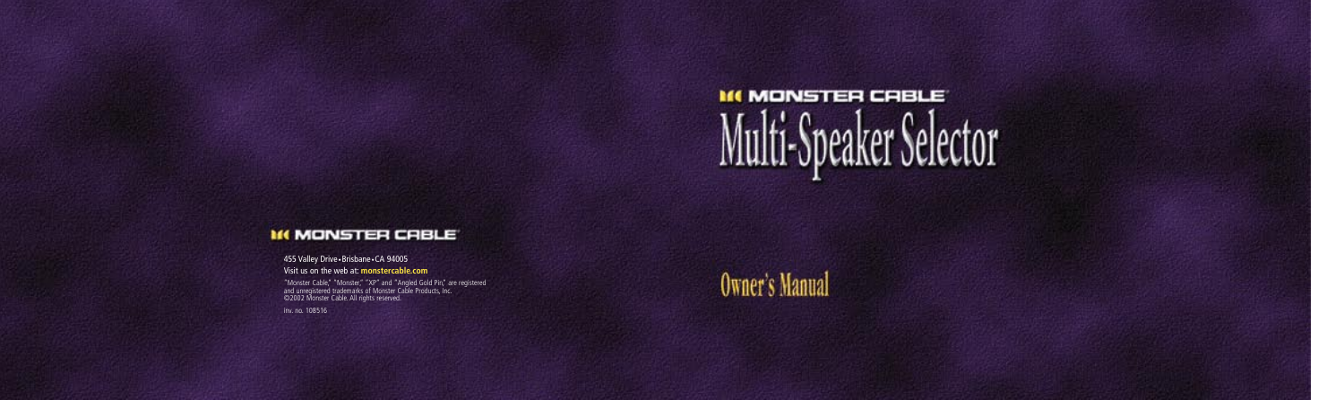

### *M MONSTER CRBLE*

455 Valley Drive •Brisbane •CA 94005

Visit us on the web at: **monstercable.com**

"Monster Cable," "Monster," "XP" and "Angled Gold Pin," are registered<br>and unregistered trademarks of Monster Cable Products, Inc.<br>©2002 Monster Cable. All rights reserved.

inv. no. 108516



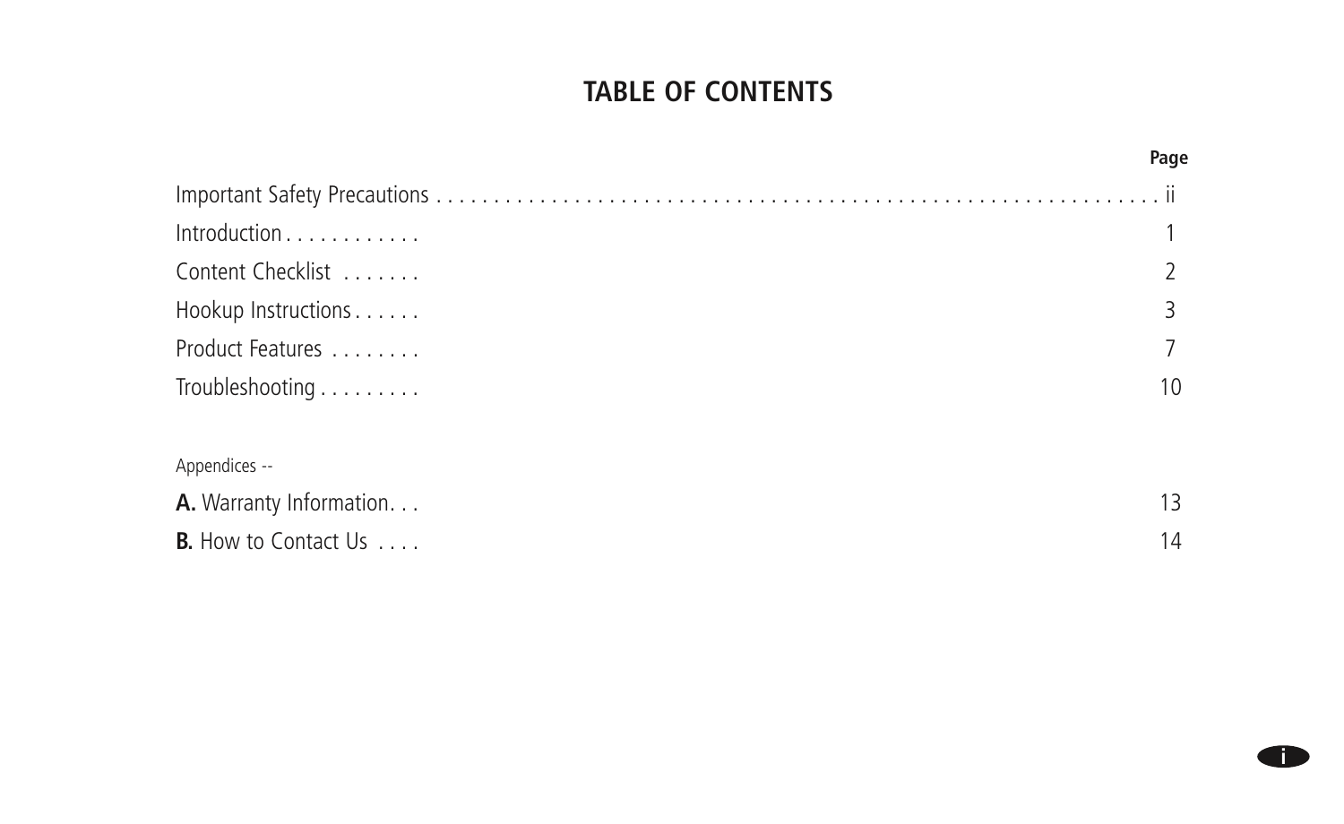## **TABLE OF CONTENTS**

|                             | Page |
|-----------------------------|------|
|                             |      |
| Introduction                |      |
| Content Checklist           |      |
| Hookup Instructions         | 3    |
| Product Features            |      |
| Troubleshooting             | 10   |
| Appendices --               |      |
| A. Warranty Information.    | 13   |
| <b>B.</b> How to Contact Us | 14   |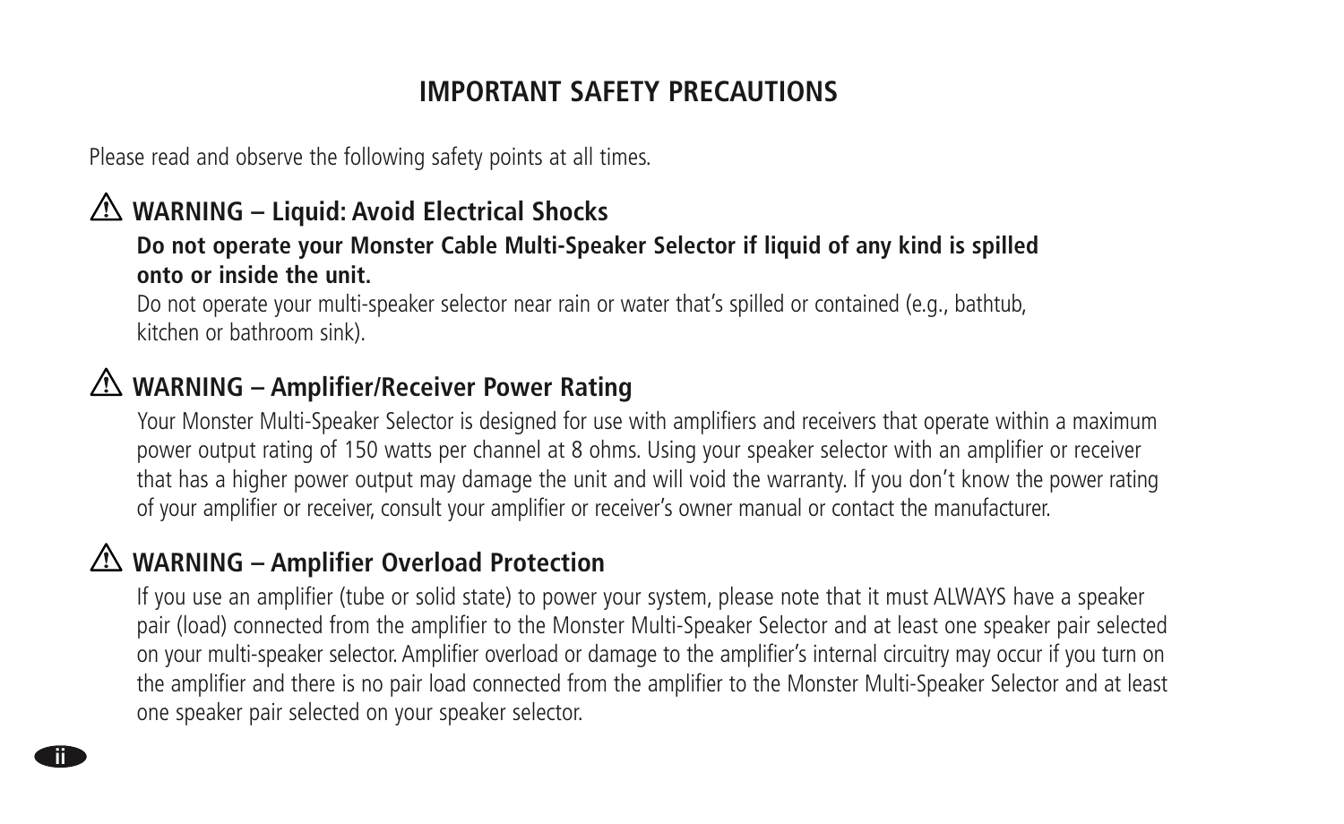# **IMPORTANT SAFETY PRECAUTIONS**

Please read and observe the following safety points at all times.

# **WARNING – Liquid: Avoid Electrical Shocks**

#### **Do not operate your Monster Cable Multi-Speaker Selector if liquid of any kind is spilled onto or inside the unit.**

Do not operate your multi-speaker selector near rain or water that's spilled or contained (e.g., bathtub, kitchen or bathroom sink).

# **WARNING – Amplifier/Receiver Power Rating**

 Your Monster Multi-Speaker Selector is designed for use with amplifiers and receivers that operate within a maximum power output rating of 150 watts per channel at 8 ohms. Using your speaker selector with an amplifier or receiver that has a higher power output may damage the unit and will void the warranty. If you don't know the power rating of your amplifier or receiver, consult your amplifier or receiver's owner manual or contact the manufacturer.

# **WARNING – Amplifier Overload Protection**

**ii**

 If you use an amplifier (tube or solid state) to power your system, please note that it must ALWAYS have a speaker pair (load) connected from the amplifier to the Monster Multi-Speaker Selector and at least one speaker pair selected on your multi-speaker selector. Amplifier overload or damage to the amplifier's internal circuitry may occur if you turn on the amplifier and there is no pair load connected from the amplifier to the Monster Multi-Speaker Selector and at least one speaker pair selected on your speaker selector.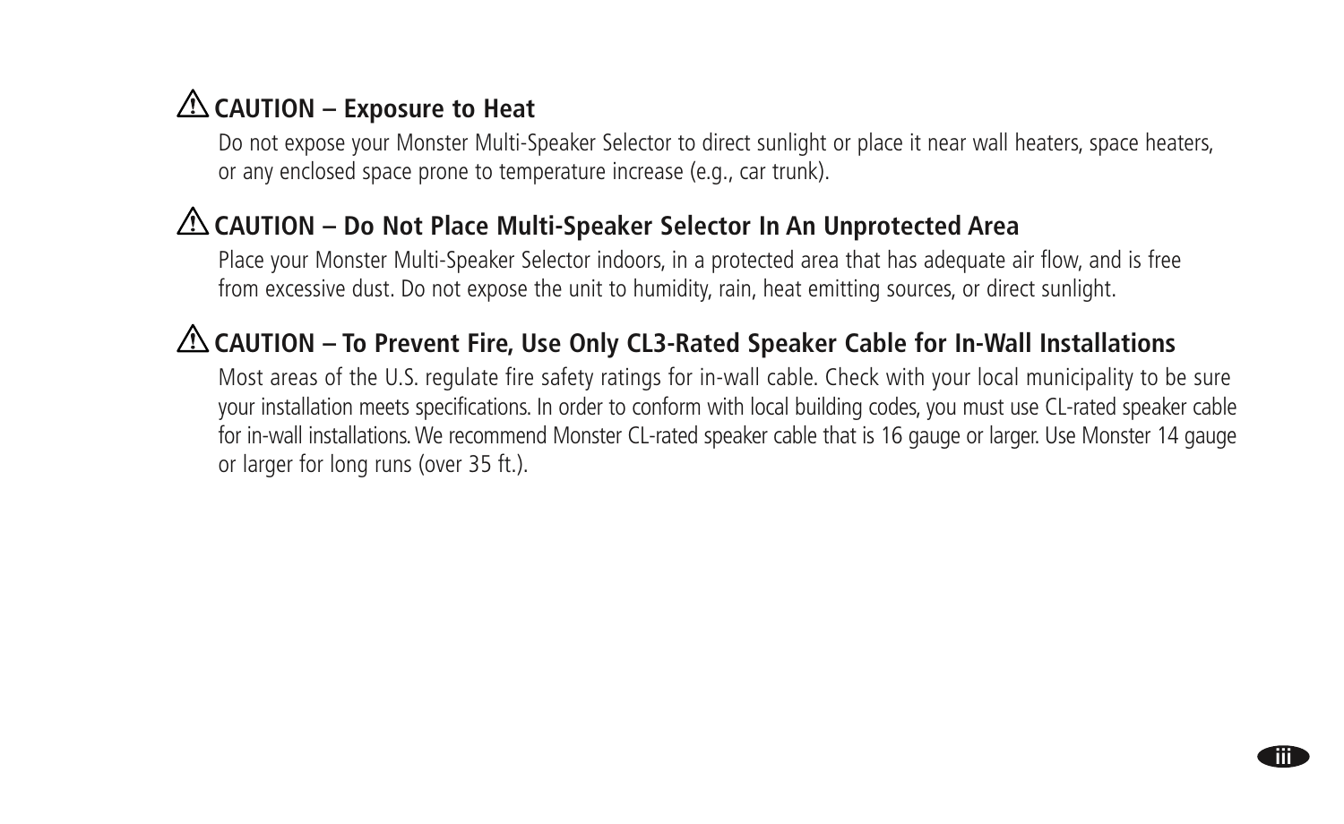# **CAUTION – Exposure to Heat**

 Do not expose your Monster Multi-Speaker Selector to direct sunlight or place it near wall heaters, space heaters, or any enclosed space prone to temperature increase (e.g., car trunk).

# **CAUTION – Do Not Place Multi-Speaker Selector In An Unprotected Area**

 Place your Monster Multi-Speaker Selector indoors, in a protected area that has adequate air flow, and is free from excessive dust. Do not expose the unit to humidity, rain, heat emitting sources, or direct sunlight.

# **CAUTION – To Prevent Fire, Use Only CL3-Rated Speaker Cable for In-Wall Installations**

 Most areas of the U.S. regulate fire safety ratings for in-wall cable. Check with your local municipality to be sure your installation meets specifications. In order to conform with local building codes, you must use CL-rated speaker cable for in-wall installations. We recommend Monster CL-rated speaker cable that is 16 gauge or larger. Use Monster 14 gauge or larger for long runs (over 35 ft.).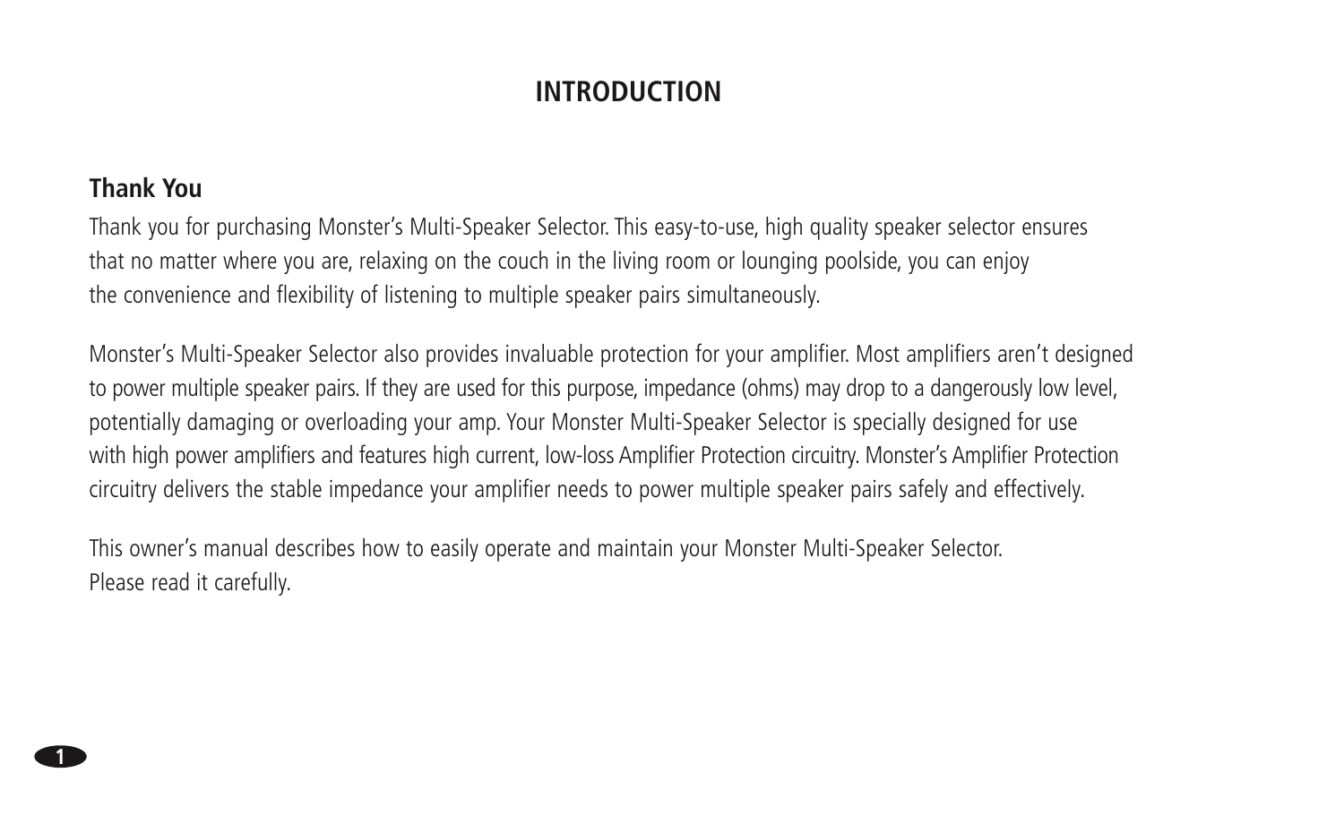## **INTRODUCTION**

#### **Thank You**

Thank you for purchasing Monster's Multi-Speaker Selector. This easy-to-use, high quality speaker selector ensures that no matter where you are, relaxing on the couch in the living room or lounging poolside, you can enjoy the convenience and flexibility of listening to multiple speaker pairs simultaneously.

Monster's Multi-Speaker Selector also provides invaluable protection for your amplifier. Most amplifiers aren't designed to power multiple speaker pairs. If they are used for this purpose, impedance (ohms) may drop to a dangerously low level, potentially damaging or overloading your amp. Your Monster Multi-Speaker Selector is specially designed for use with high power amplifiers and features high current, low-loss Amplifier Protection circuitry. Monster's Amplifier Protection circuitry delivers the stable impedance your amplifier needs to power multiple speaker pairs safely and effectively.

This owner's manual describes how to easily operate and maintain your Monster Multi-Speaker Selector. Please read it carefully.

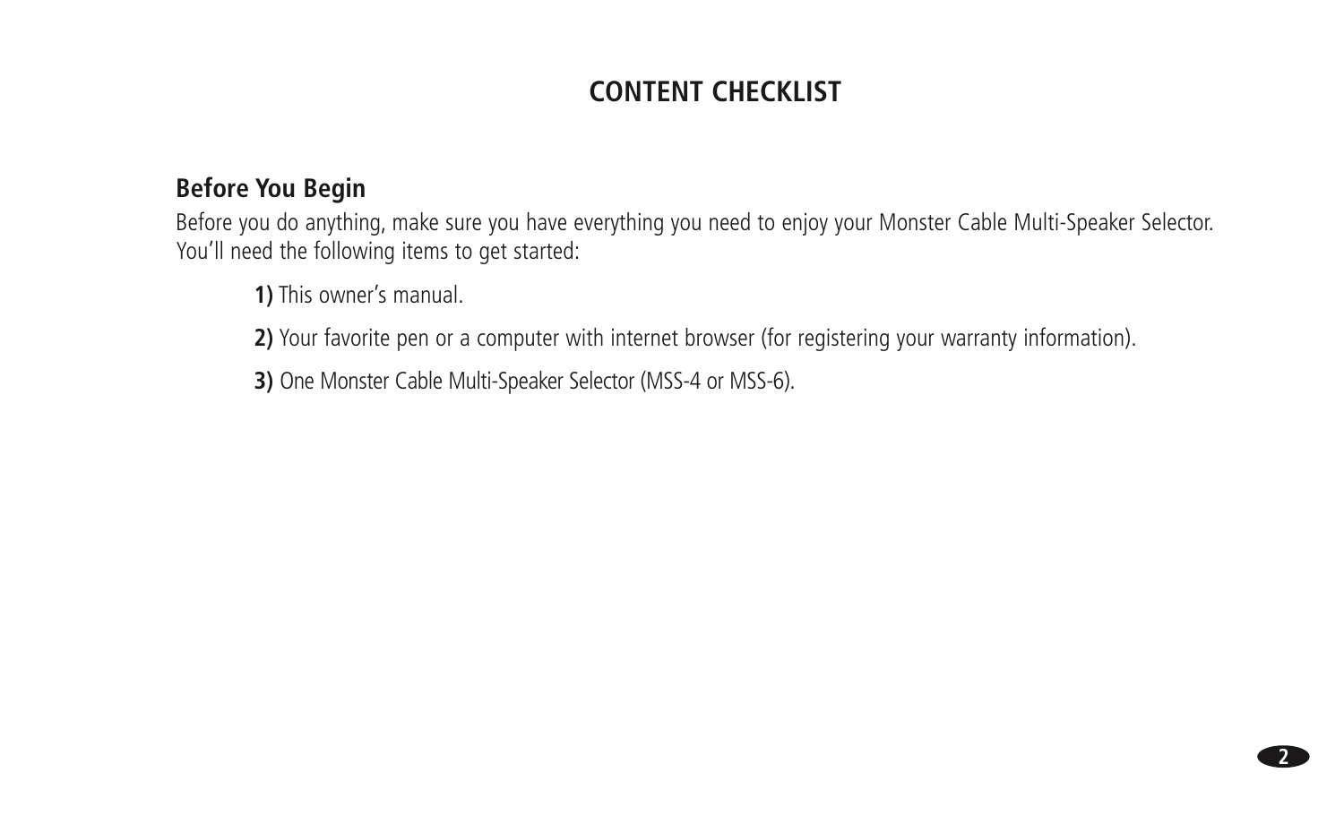# **CONTENT CHECKLIST**

### **Before You Begin**

Before you do anything, make sure you have everything you need to enjoy your Monster Cable Multi-Speaker Selector. You'll need the following items to get started:

**1)** This owner's manual.

**2)** Your favorite pen or a computer with internet browser (for registering your warranty information).

**2**

**3)** One Monster Cable Multi-Speaker Selector (MSS-4 or MSS-6).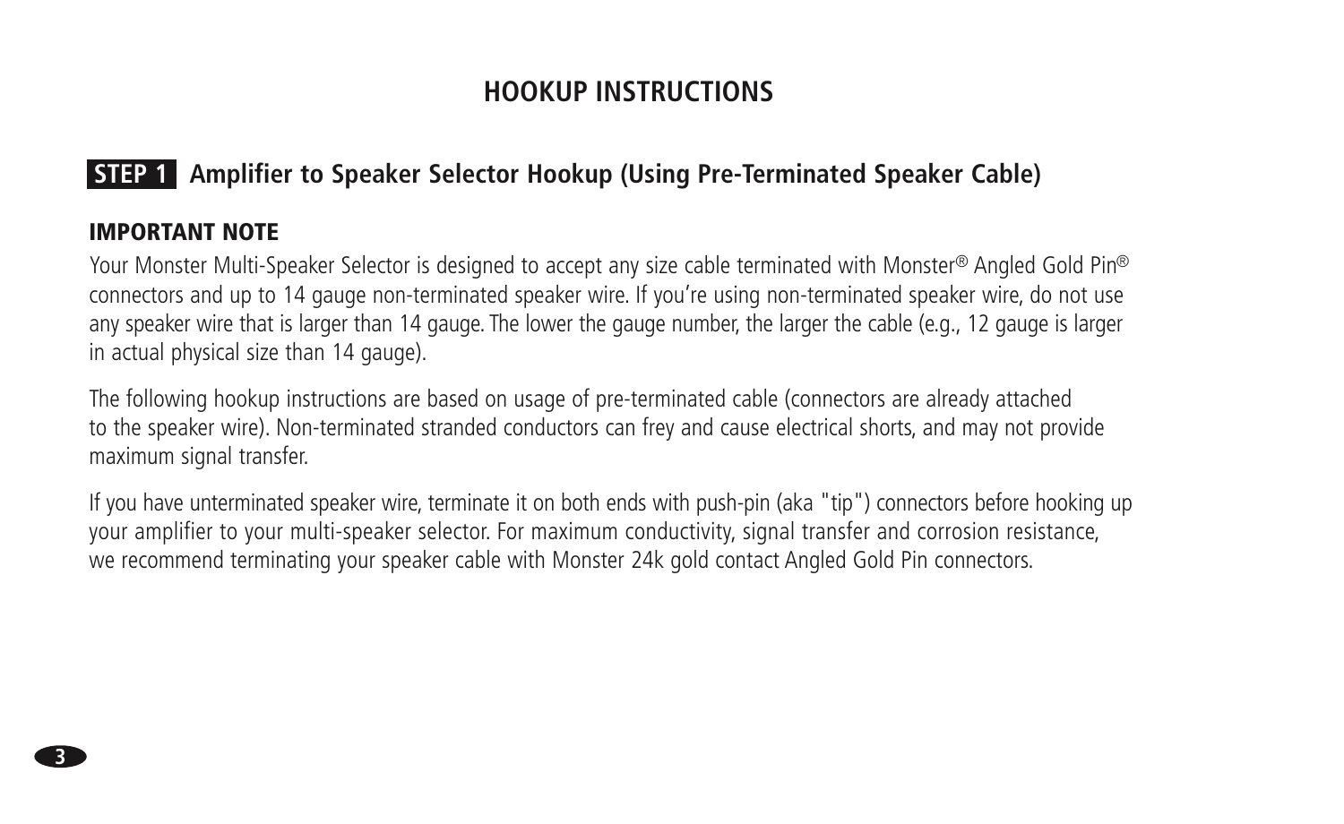### **HOOKUP INSTRUCTIONS**

### **STEP 1 Amplifier to Speaker Selector Hookup (Using Pre-Terminated Speaker Cable)**

#### IMPORTANT NOTE

**3**

Your Monster Multi-Speaker Selector is designed to accept any size cable terminated with Monster® Angled Gold Pin® connectors and up to 14 gauge non-terminated speaker wire. If you're using non-terminated speaker wire, do not use any speaker wire that is larger than 14 gauge. The lower the gauge number, the larger the cable (e.g., 12 gauge is larger in actual physical size than 14 gauge).

The following hookup instructions are based on usage of pre-terminated cable (connectors are already attached to the speaker wire). Non-terminated stranded conductors can frey and cause electrical shorts, and may not provide maximum signal transfer.

If you have unterminated speaker wire, terminate it on both ends with push-pin (aka "tip") connectors before hooking up your amplifier to your multi-speaker selector. For maximum conductivity, signal transfer and corrosion resistance, we recommend terminating your speaker cable with Monster 24k gold contact Angled Gold Pin connectors.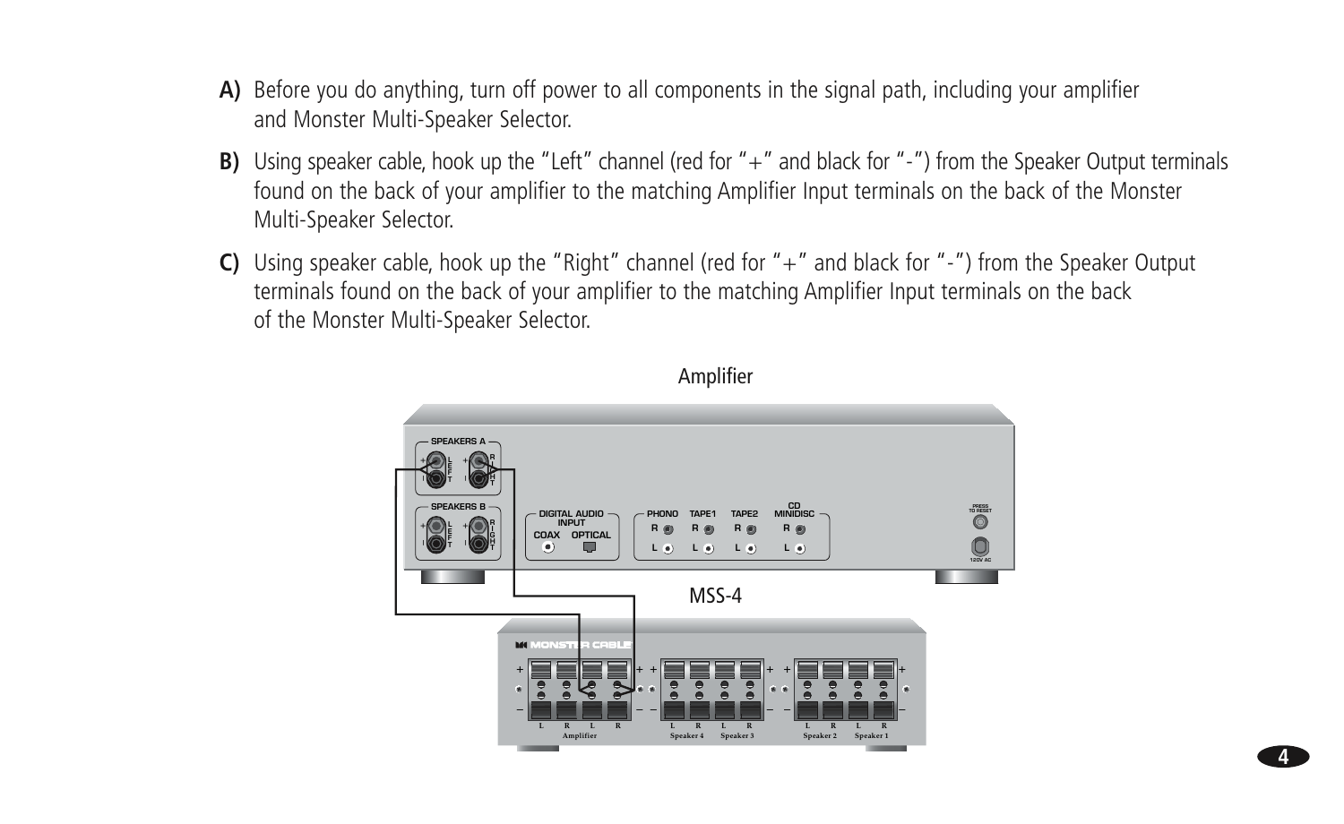- A) Before you do anything, turn off power to all components in the signal path, including your amplifier and Monster Multi-Speaker Selector.
- B) Using speaker cable, hook up the "Left" channel (red for "+" and black for "-") from the Speaker Output terminals found on the back of your amplifier to the matching Amplifier Input terminals on the back of the Monster Multi-Speaker Selector.
- C) Using speaker cable, hook up the "Right" channel (red for " $+$ " and black for "-") from the Speaker Output terminals found on the back of your amplifier to the matching Amplifier Input terminals on the back of the Monster Multi-Speaker Selector.



Amplifier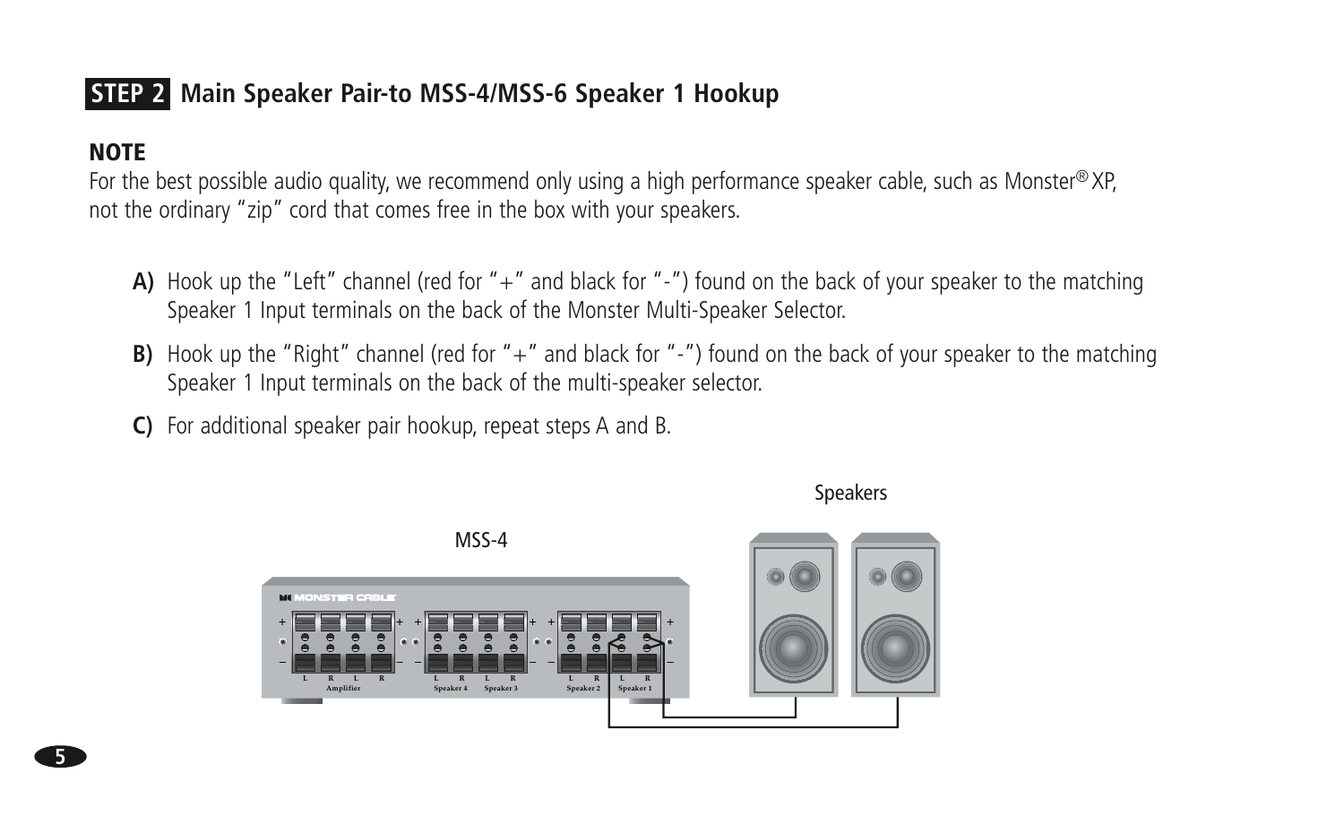# STEP 2 Main Speaker Pair-to MSS-4/MSS-6 Speaker 1 Hookup

### **NOTE**

For the best possible audio quality, we recommend only using a high performance speaker cable, such as Monster® XP, not the ordinary "zip" cord that comes free in the box with your speakers.

- A) Hook up the "Left" channel (red for "+" and black for "-") found on the back of your speaker to the matching Speaker 1 Input terminals on the back of the Monster Multi-Speaker Selector.
- **B)** Hook up the "Right" channel (red for "+" and black for "-") found on the back of your speaker to the matching Speaker 1 Input terminals on the back of the multi-speaker selector.

C) For additional speaker pair hookup, repeat steps A and B.



**Speakers**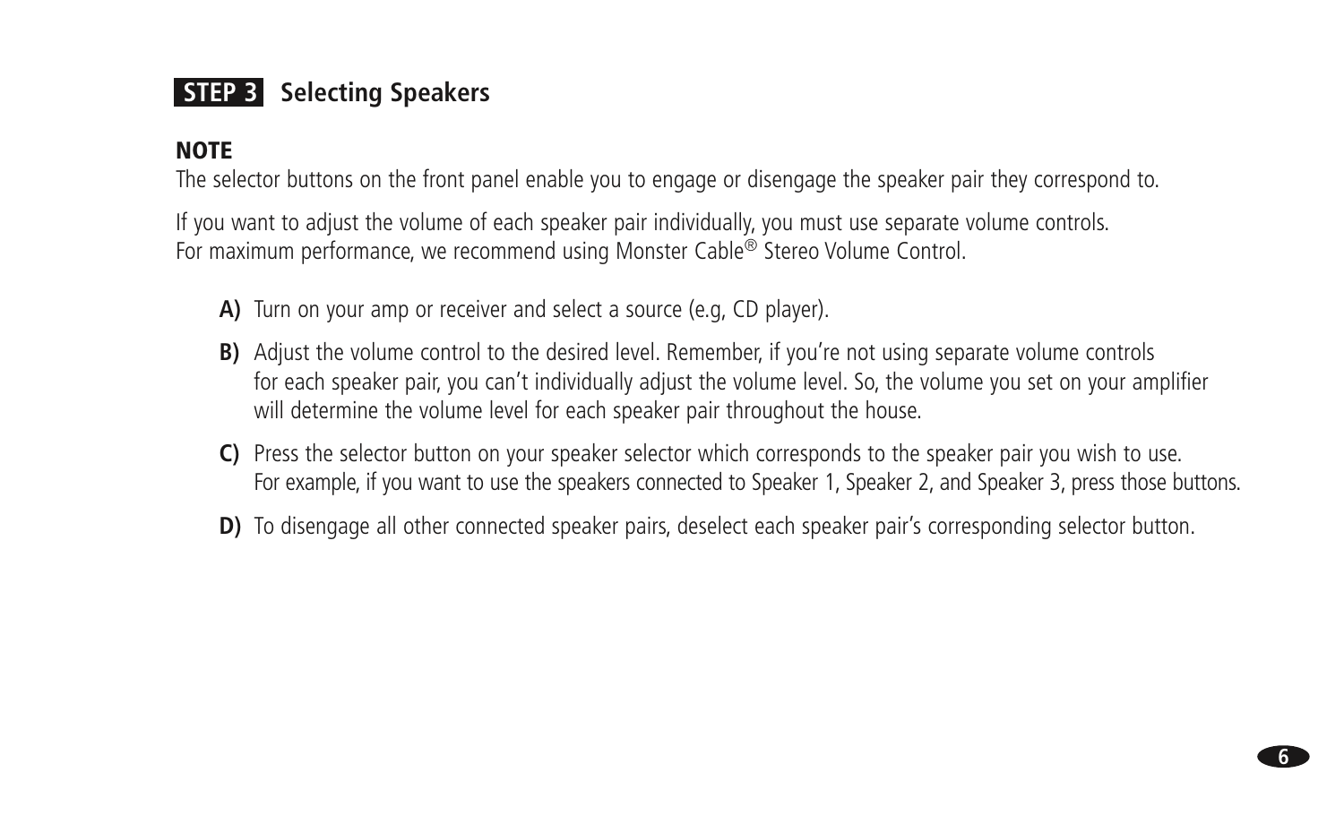# **STEP 3** Selecting Speakers

#### **NOTE**

The selector buttons on the front panel enable you to engage or disengage the speaker pair they correspond to.

If you want to adjust the volume of each speaker pair individually, you must use separate volume controls. For maximum performance, we recommend using Monster Cable<sup>®</sup> Stereo Volume Control.

- **A)** Turn on your amp or receiver and select a source (e.g, CD player).
- **B)** Adjust the volume control to the desired level. Remember, if you're not using separate volume controls for each speaker pair, you can't individually adjust the volume level. So, the volume you set on your amplifier will determine the volume level for each speaker pair throughout the house.
- **C)** Press the selector button on your speaker selector which corresponds to the speaker pair you wish to use. For example, if you want to use the speakers connected to Speaker 1, Speaker 2, and Speaker 3, press those buttons.
- **D**) To disengage all other connected speaker pairs, deselect each speaker pair's corresponding selector button.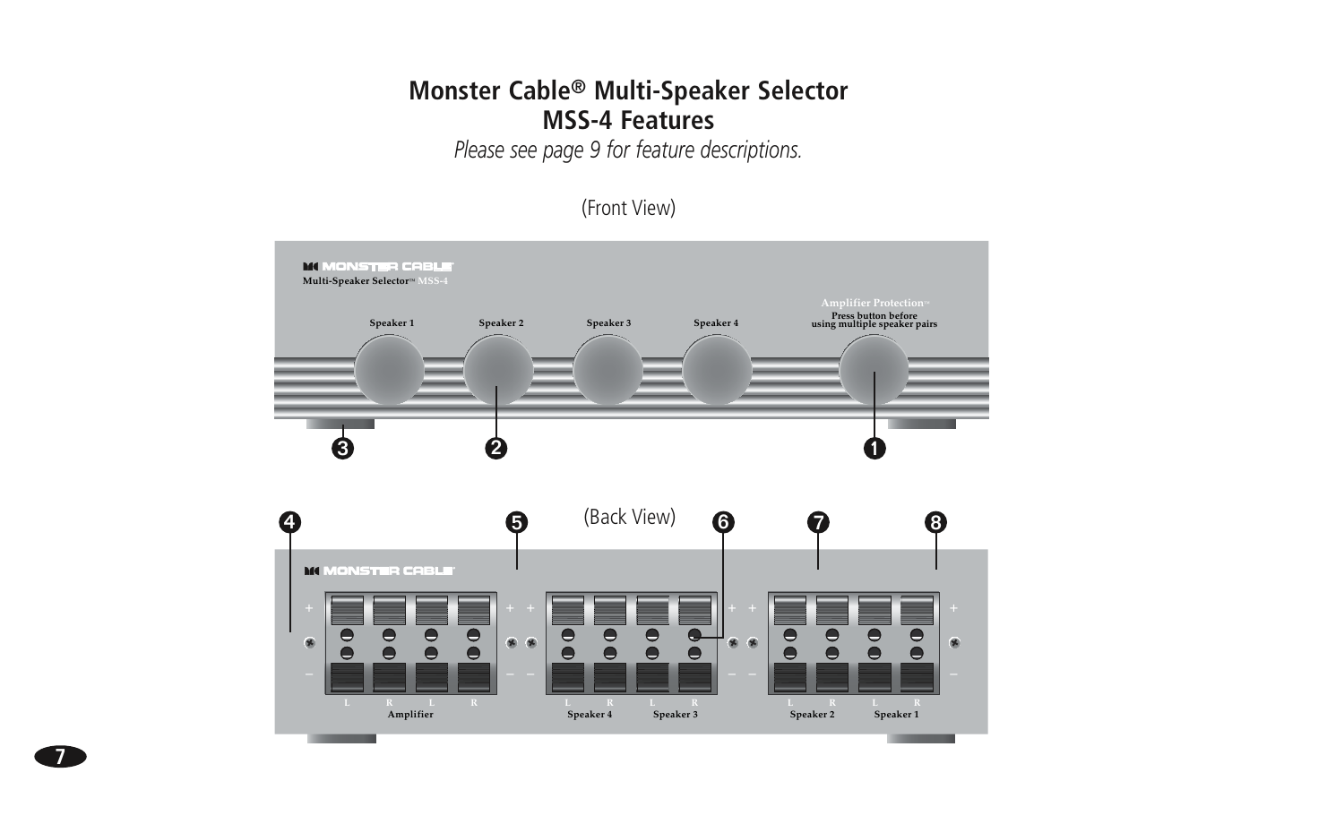#### Monster Cable® Multi-Speaker Selector **MSS-4 Features**

Please see page 9 for feature descriptions.



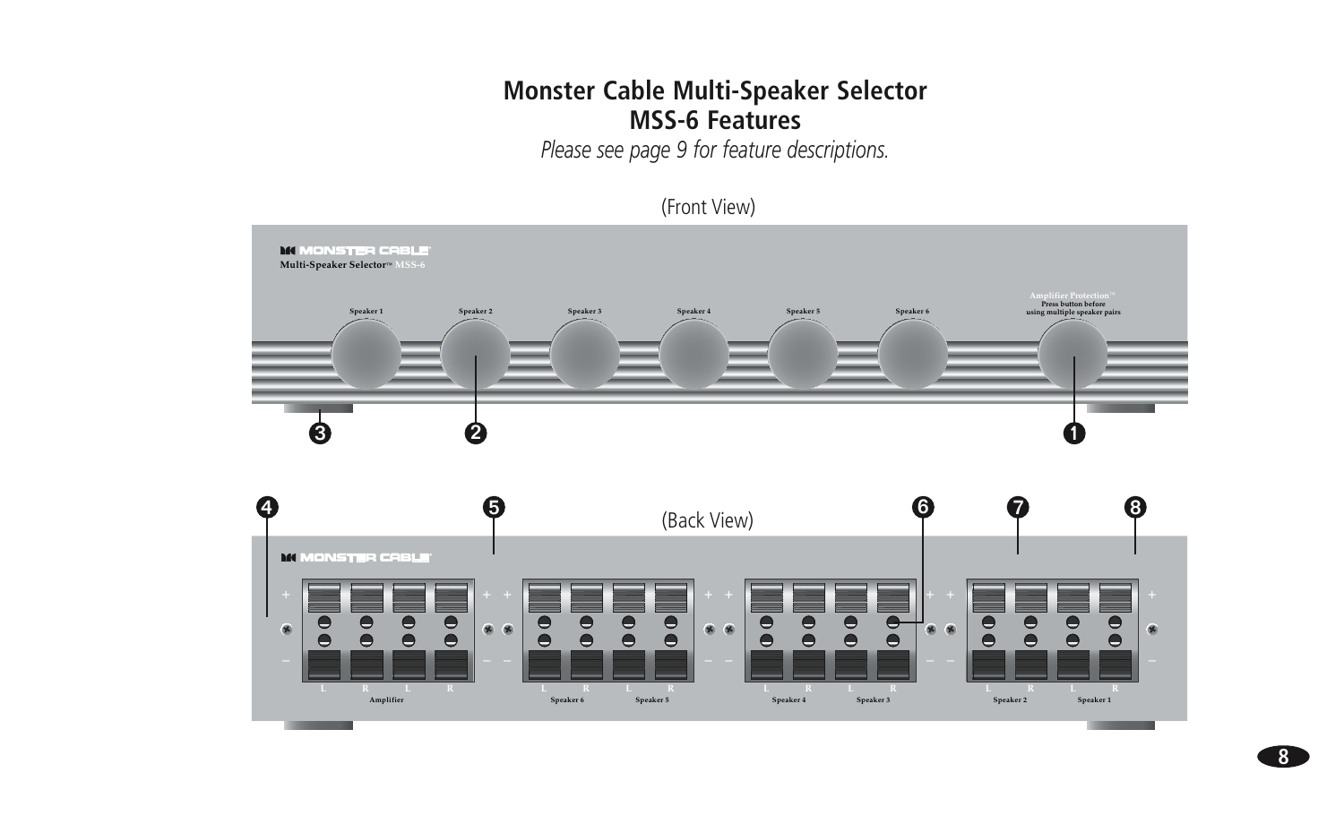#### **Monster Cable Multi-Speaker Selector MSS-6 Features**

Please see page 9 for feature descriptions.





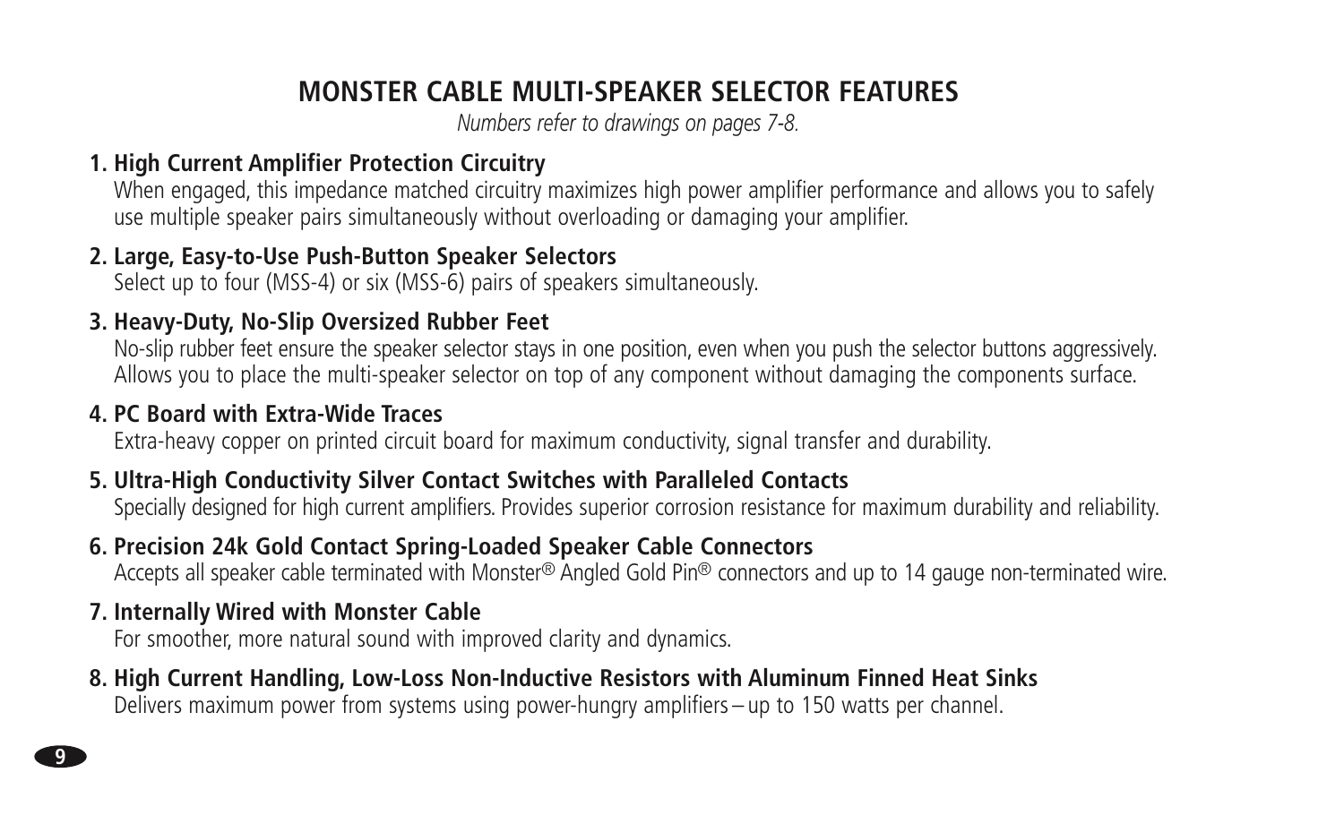# **MONSTER CABLE MULTI-SPEAKER SELECTOR FEATURES**

*Numbers refer to drawings on pages 7-8.*

#### **1. High Current Amplifier Protection Circuitry**

When engaged, this impedance matched circuitry maximizes high power amplifier performance and allows you to safely use multiple speaker pairs simultaneously without overloading or damaging your amplifier.

#### **2. Large, Easy-to-Use Push-Button Speaker Selectors**

Select up to four (MSS-4) or six (MSS-6) pairs of speakers simultaneously.

### **3. Heavy-Duty, No-Slip Oversized Rubber Feet**

No-slip rubber feet ensure the speaker selector stays in one position, even when you push the selector buttons aggressively. Allows you to place the multi-speaker selector on top of any component without damaging the components surface.

### **4. PC Board with Extra-Wide Traces**

Extra-heavy copper on printed circuit board for maximum conductivity, signal transfer and durability.

### **5. Ultra-High Conductivity Silver Contact Switches with Paralleled Contacts**

Specially designed for high current amplifiers. Provides superior corrosion resistance for maximum durability and reliability.

### **6. Precision 24k Gold Contact Spring-Loaded Speaker Cable Connectors**

Accepts all speaker cable terminated with Monster® Angled Gold Pin® connectors and up to 14 gauge non-terminated wire.

#### **7. Internally Wired with Monster Cable**

For smoother, more natural sound with improved clarity and dynamics.

## **8. High Current Handling, Low-Loss Non-Inductive Resistors with Aluminum Finned Heat Sinks**

Delivers maximum power from systems using power-hungry amplifiers – up to 150 watts per channel.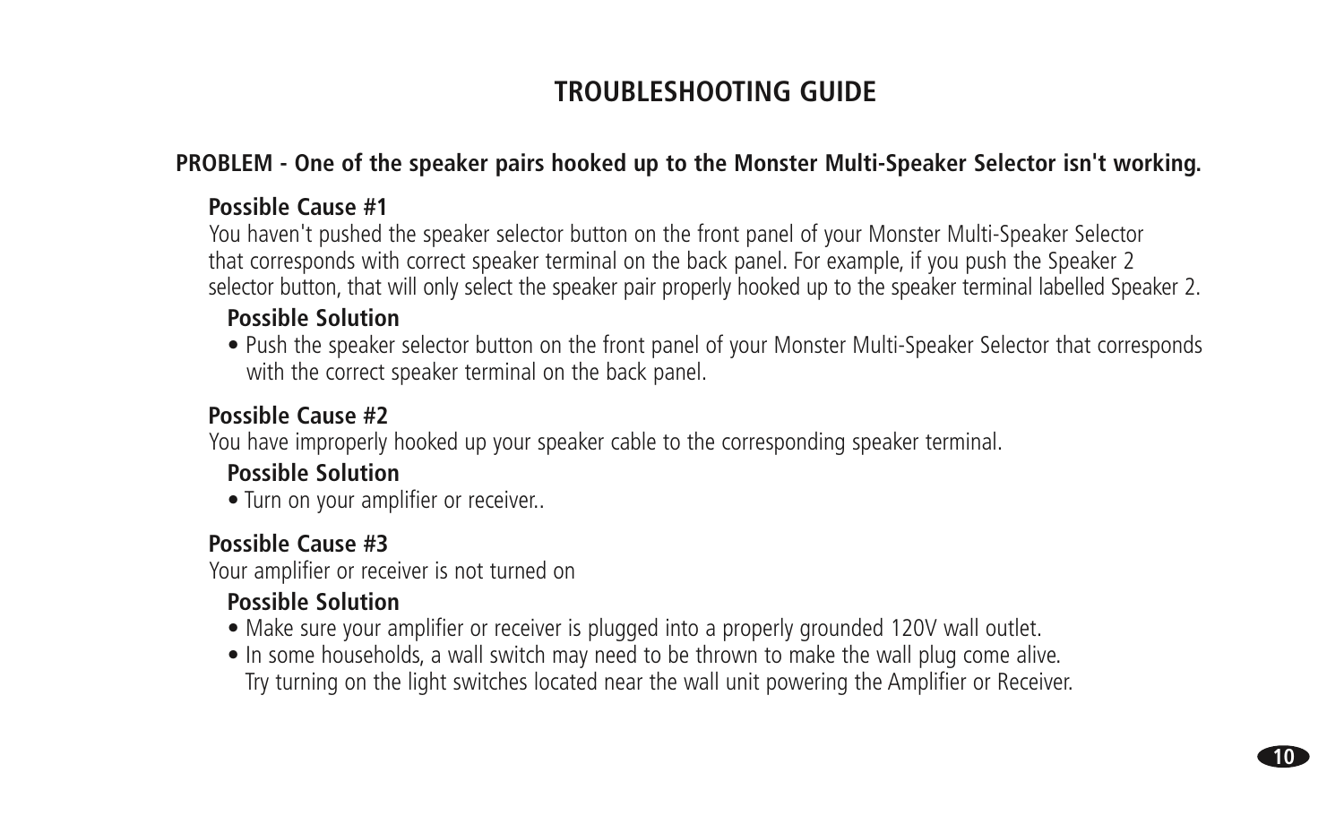# **TROUBLESHOOTING GUIDE**

#### **PROBLEM - One of the speaker pairs hooked up to the Monster Multi-Speaker Selector isn't working.**

#### **Possible Cause #1**

You haven't pushed the speaker selector button on the front panel of your Monster Multi-Speaker Selector that corresponds with correct speaker terminal on the back panel. For example, if you push the Speaker 2 selector button, that will only select the speaker pair properly hooked up to the speaker terminal labelled Speaker 2.

#### **Possible Solution**

 • Push the speaker selector button on the front panel of your Monster Multi-Speaker Selector that corresponds with the correct speaker terminal on the back panel.

#### **Possible Cause #2**

You have improperly hooked up your speaker cable to the corresponding speaker terminal.

#### **Possible Solution**

• Turn on your amplifier or receiver..

#### **Possible Cause #3**

Your amplifier or receiver is not turned on

### **Possible Solution**

- Make sure your amplifier or receiver is plugged into a properly grounded 120V wall outlet.
- In some households, a wall switch may need to be thrown to make the wall plug come alive. Try turning on the light switches located near the wall unit powering the Amplifier or Receiver.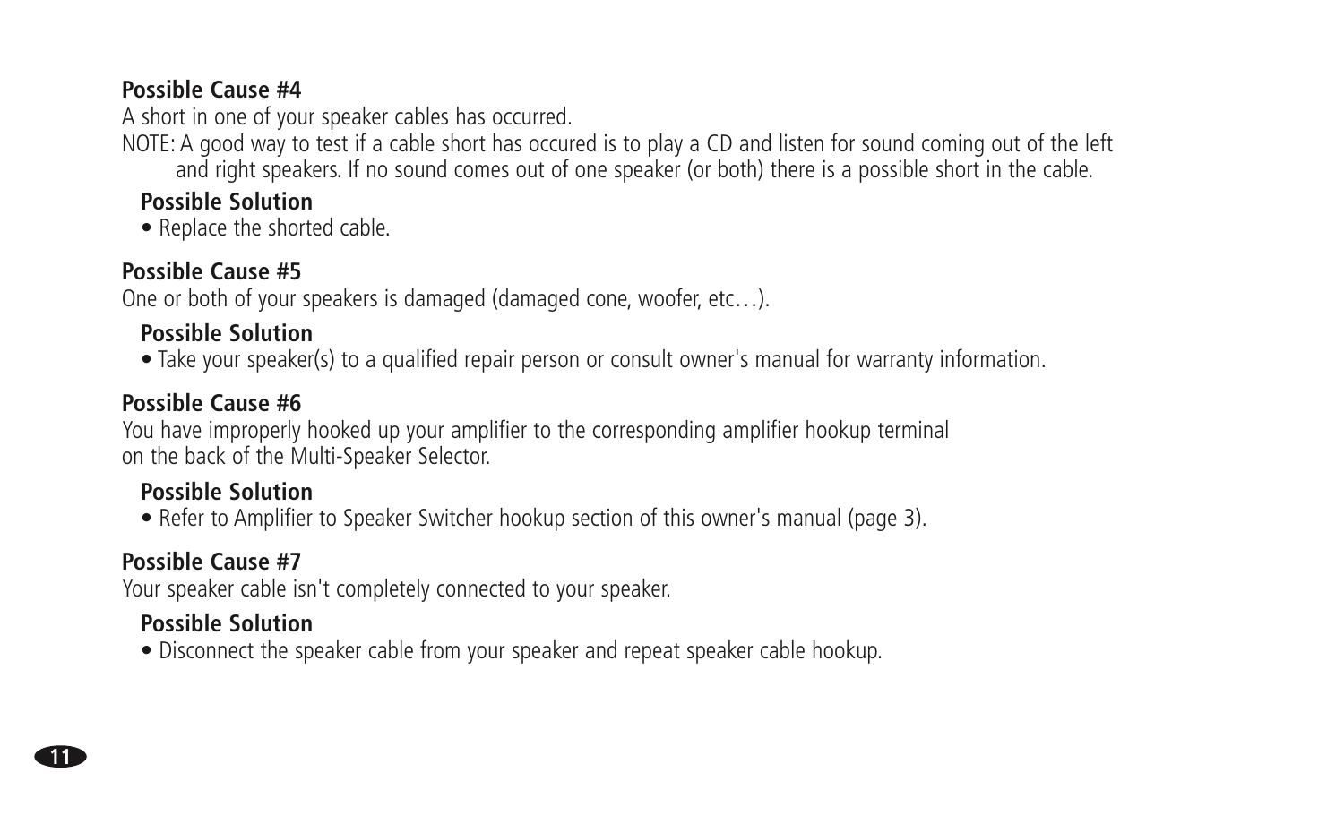#### **Possible Cause #4**

A short in one of your speaker cables has occurred.

NOTE: A good way to test if a cable short has occured is to play a CD and listen for sound coming out of the left and right speakers. If no sound comes out of one speaker (or both) there is a possible short in the cable.

#### **Possible Solution**

• Replace the shorted cable.

#### **Possible Cause #5**

One or both of your speakers is damaged (damaged cone, woofer, etc…).

#### **Possible Solution**

• Take your speaker(s) to a qualified repair person or consult owner's manual for warranty information.

#### **Possible Cause #6**

You have improperly hooked up your amplifier to the corresponding amplifier hookup terminal on the back of the Multi-Speaker Selector.

#### **Possible Solution**

• Refer to Amplifier to Speaker Switcher hookup section of this owner's manual (page 3).

### **Possible Cause #7**

Your speaker cable isn't completely connected to your speaker.

#### **Possible Solution**

• Disconnect the speaker cable from your speaker and repeat speaker cable hookup.

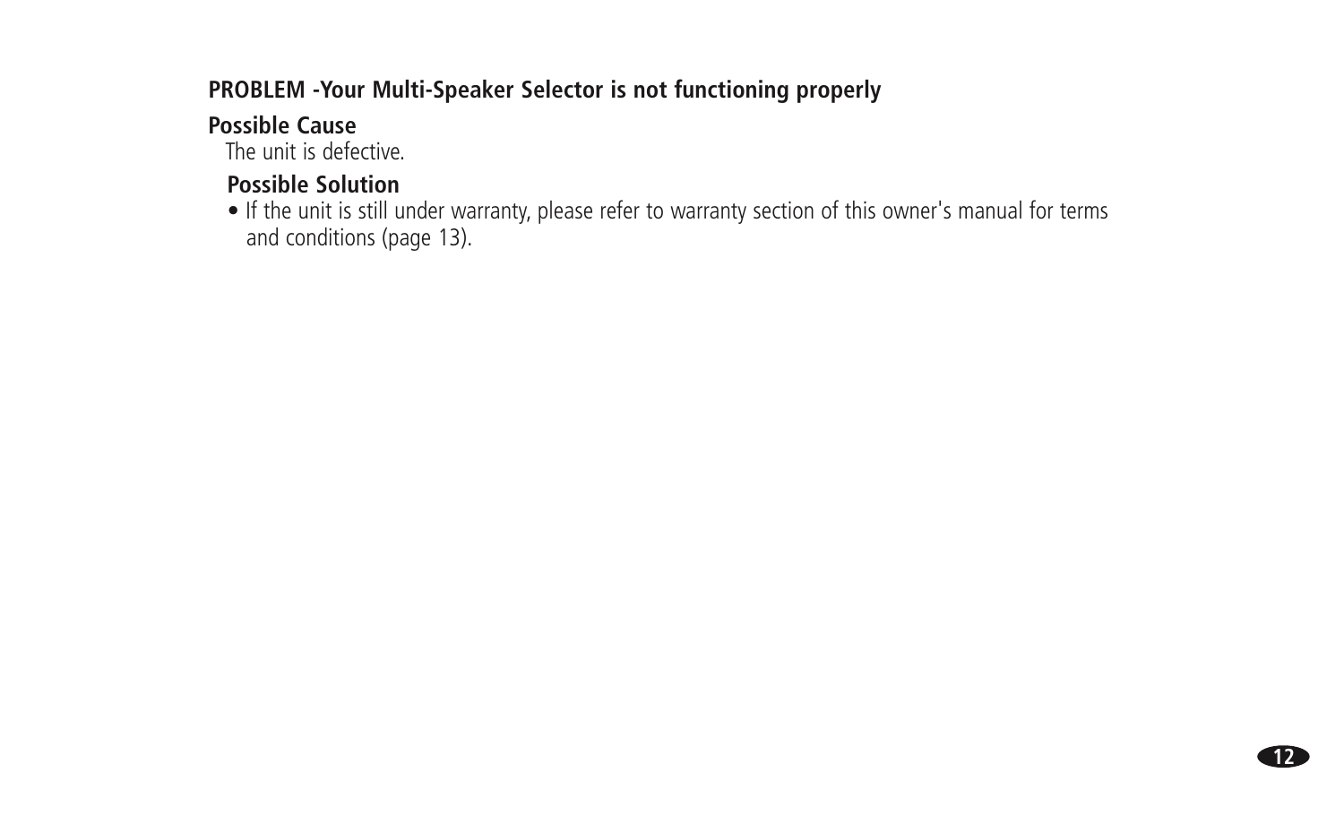### **PROBLEM -Your Multi-Speaker Selector is not functioning properly**

### **Possible Cause**

The unit is defective.

## **Possible Solution**

 • If the unit is still under warranty, please refer to warranty section of this owner's manual for terms and conditions (page 13).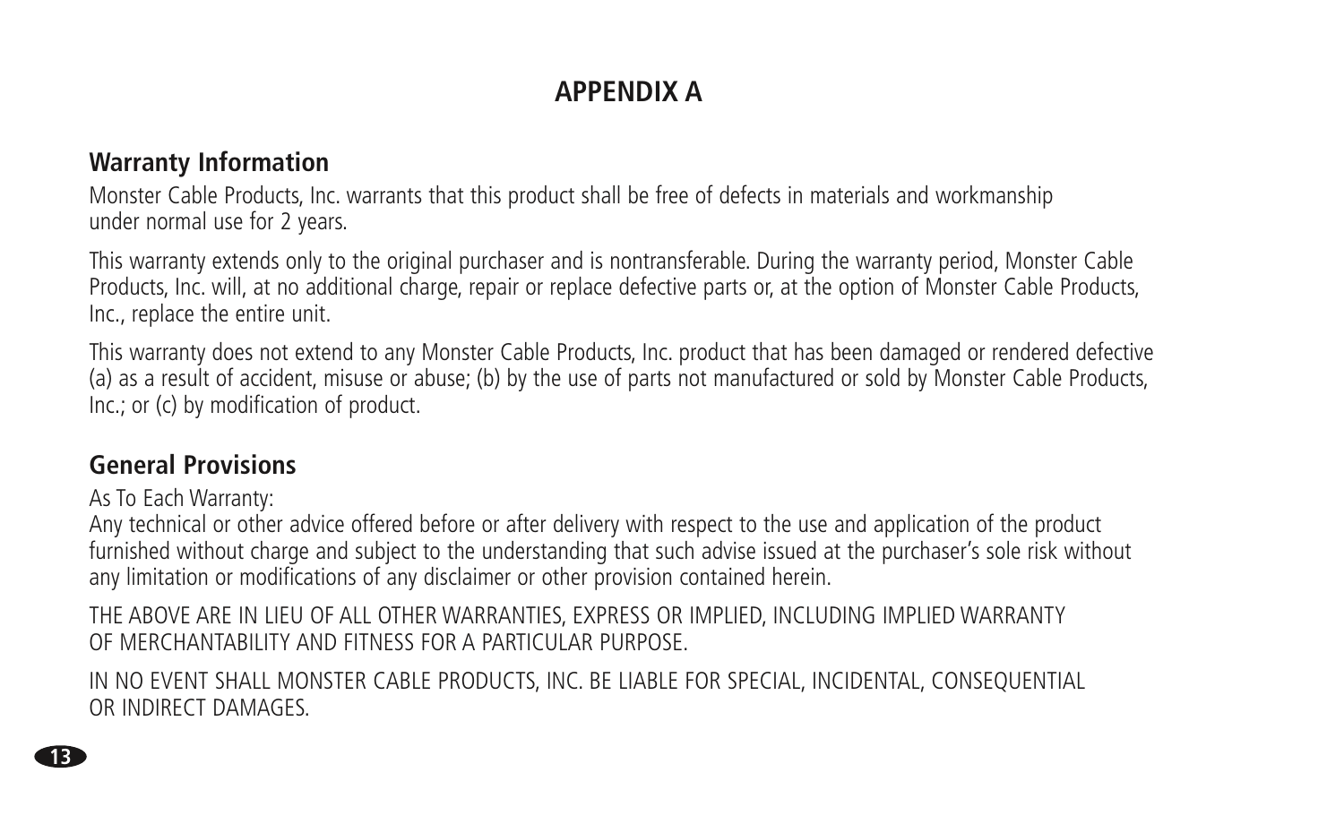# **APPENDIX A**

### **Warranty Information**

Monster Cable Products, Inc. warrants that this product shall be free of defects in materials and workmanship under normal use for 2 years.

This warranty extends only to the original purchaser and is nontransferable. During the warranty period, Monster Cable Products, Inc. will, at no additional charge, repair or replace defective parts or, at the option of Monster Cable Products, Inc., replace the entire unit.

This warranty does not extend to any Monster Cable Products, Inc. product that has been damaged or rendered defective (a) as a result of accident, misuse or abuse; (b) by the use of parts not manufactured or sold by Monster Cable Products, Inc.; or (c) by modification of product.

### **General Provisions**

As To Each Warranty:

Any technical or other advice offered before or after delivery with respect to the use and application of the product furnished without charge and subject to the understanding that such advise issued at the purchaser's sole risk without any limitation or modifications of any disclaimer or other provision contained herein.

THE ABOVE ARE IN LIEU OF ALL OTHER WARRANTIES, EXPRESS OR IMPLIED, INCLUDING IMPLIED WARRANTY OF MERCHANTABILITY AND FITNESS FOR A PARTICULAR PURPOSE.

IN NO EVENT SHALL MONSTER CABLE PRODUCTS, INC. BE LIABLE FOR SPECIAL, INCIDENTAL, CONSEQUENTIAL OR INDIRECT DAMAGES.

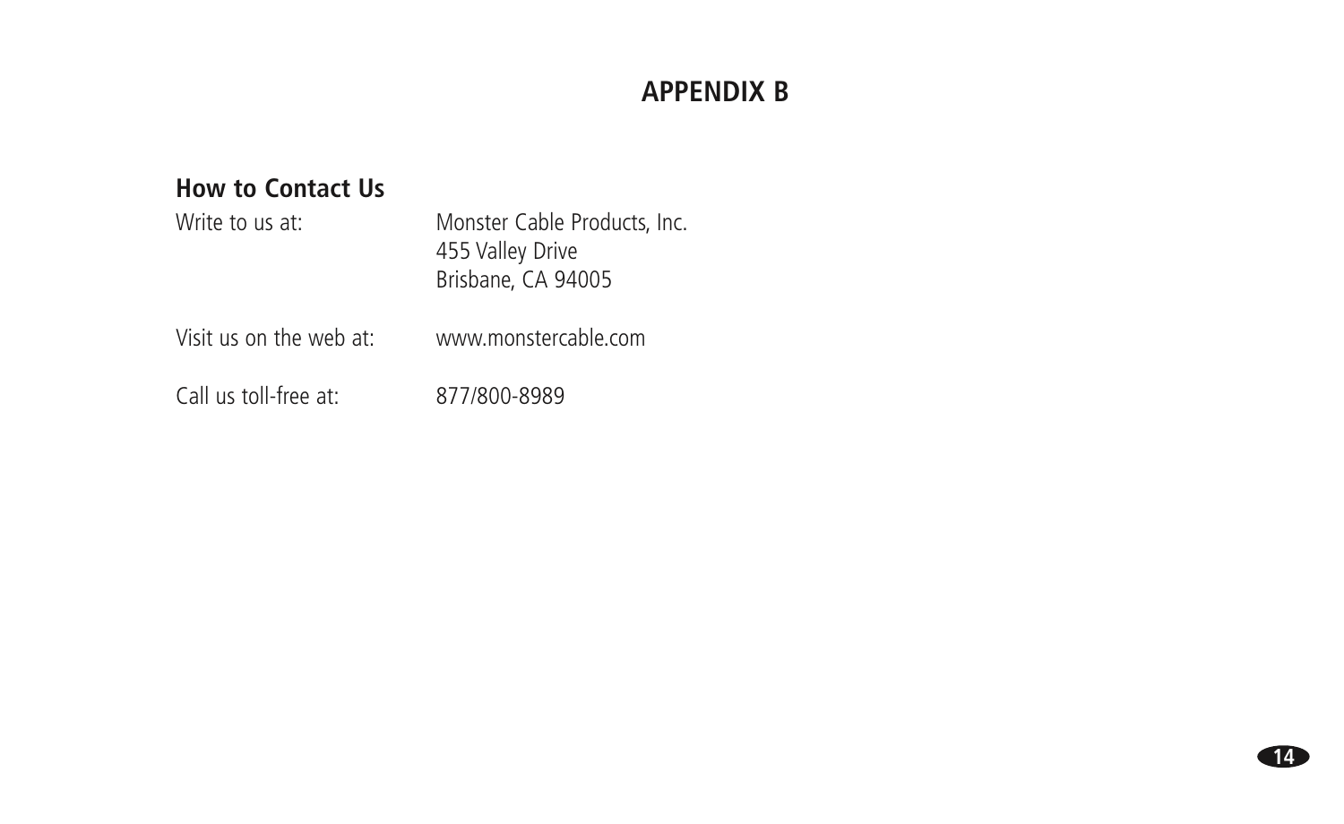## **APPENDIX B**

### **How to Contact Us**

| Write to us at:         | Monster Cable Products, Inc.<br>455 Valley Drive<br>Brisbane, CA 94005 |
|-------------------------|------------------------------------------------------------------------|
| Visit us on the web at: | www.monstercable.com                                                   |
| Call us toll-free at:   | 877/800-8989                                                           |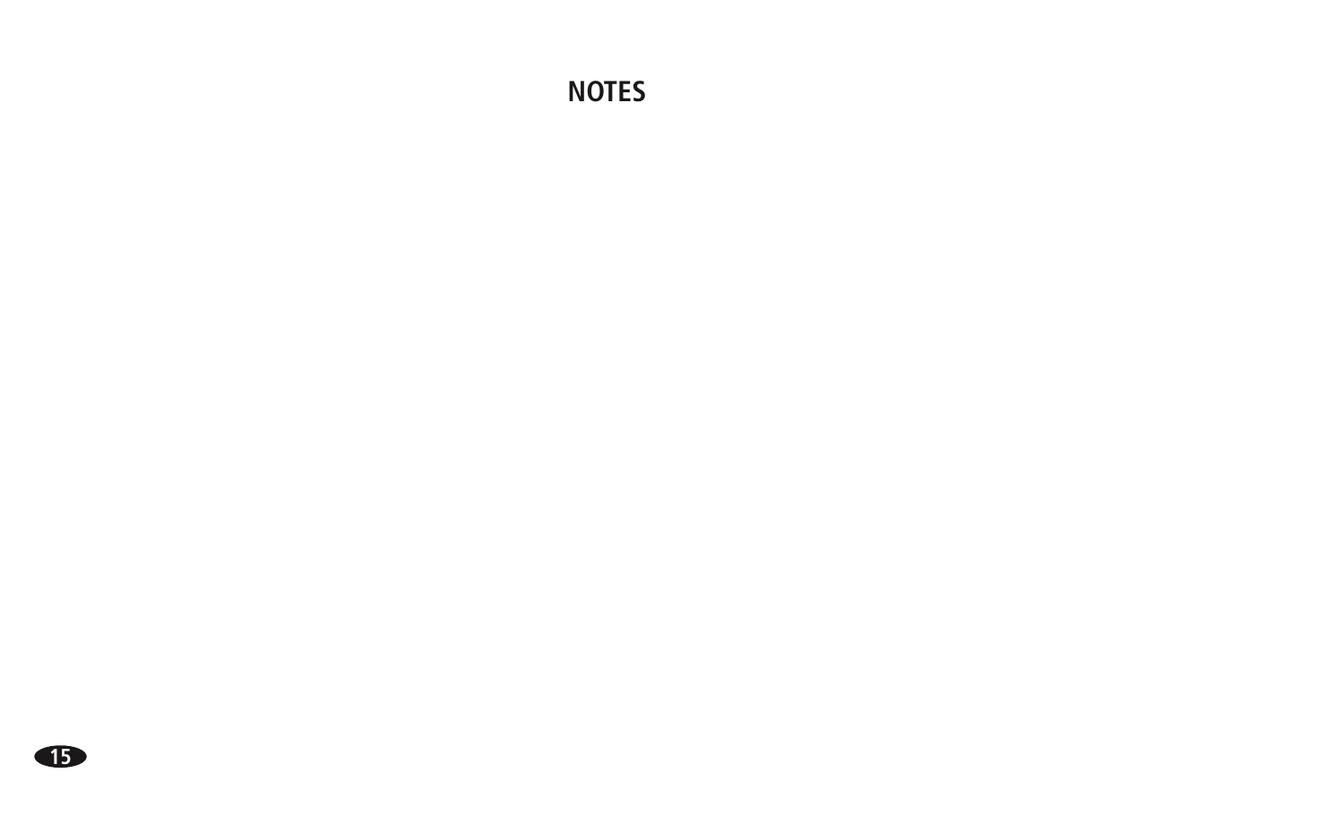## **NOTES**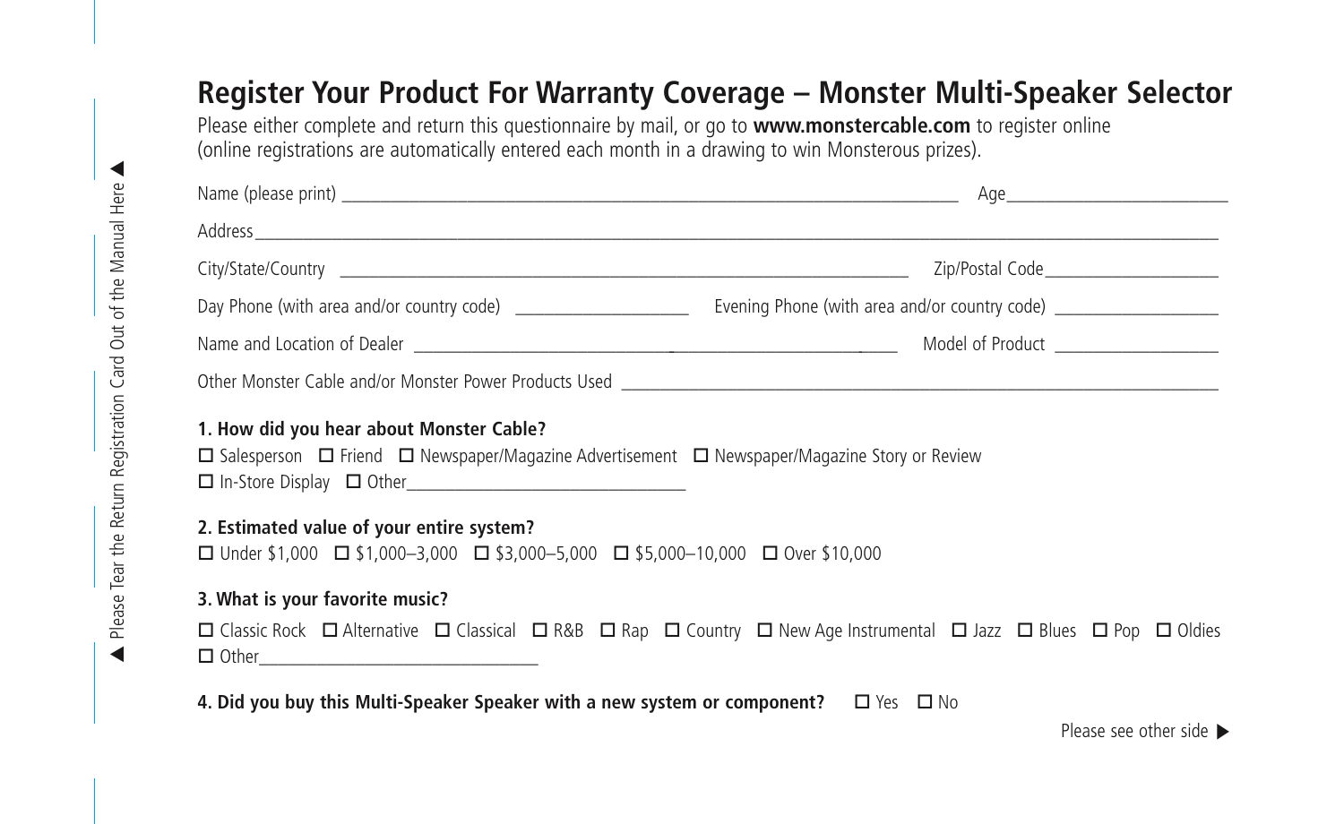# **Register Your Product For Warranty Coverage – Monster Multi-Speaker Selector**

Please either complete and return this questionnaire by mail, or go to **www.monstercable.com** to register online (online registrations are automatically entered each month in a drawing to win Monsterous prizes).

|                                                                                                                                                                | Zip/Postal Code_______________________                                                                                                                                                                                               |  |
|----------------------------------------------------------------------------------------------------------------------------------------------------------------|--------------------------------------------------------------------------------------------------------------------------------------------------------------------------------------------------------------------------------------|--|
|                                                                                                                                                                |                                                                                                                                                                                                                                      |  |
|                                                                                                                                                                | Name and Location of Dealer <u>and the second second in the second second in the second second second in the second second second second second second second second second second second second second second second second sec</u> |  |
|                                                                                                                                                                |                                                                                                                                                                                                                                      |  |
| 1. How did you hear about Monster Cable?<br>$\Box$ Salesperson $\Box$ Friend $\Box$ Newspaper/Magazine Advertisement $\Box$ Newspaper/Magazine Story or Review |                                                                                                                                                                                                                                      |  |
| 2. Estimated value of your entire system?<br>□ Under \$1,000 □ \$1,000-3,000 □ \$3,000-5,000 □ \$5,000-10,000 □ Over \$10,000                                  |                                                                                                                                                                                                                                      |  |
| 3. What is your favorite music?                                                                                                                                |                                                                                                                                                                                                                                      |  |
| $\Box$ Other $\Box$                                                                                                                                            | □ Classic Rock □ Alternative □ Classical □ R&B □ Rap □ Country □ New Age Instrumental □ Jazz □ Blues □ Pop □ Oldies                                                                                                                  |  |

**4. Did you buy this Multi-Speaker Speaker with a new system or component?**  $\Box$  Yes  $\Box$  No

Please see other side  $\blacktriangleright$